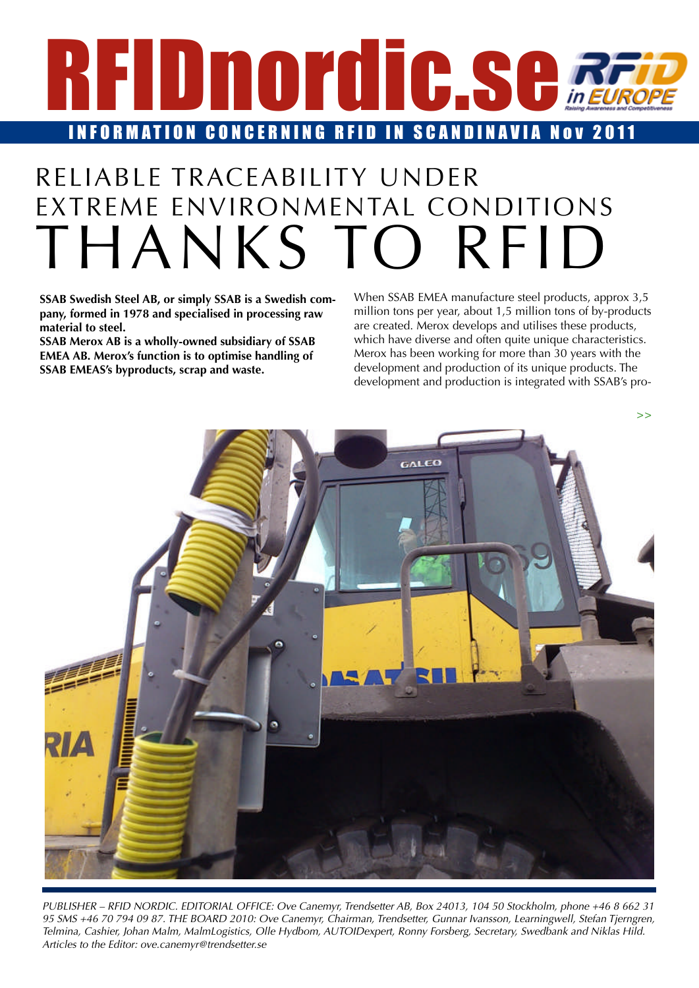<span id="page-0-0"></span>

### RELIABLE TRACEABILITY UNDER EXTREME ENVIRONMENTAL CONDITIONS THANKS TO RFID

**SSAB Swedish Steel AB, or simply SSAB is a Swedish company, formed in 1978 and specialised in processing raw material to steel. SSAB Swedish Steel AB, or simply SSAB is a Swedish com-** When SSAB EMEA manufacture st **pany, formed in 1978 and specialised in processing raw** million tons per year, about 1,5 minition **that in the material to steel.** Me

**SSAB Merox AB is a wholly-owned subsidiary of SSAB EMEA AB. Merox's function is to optimise handling of SSAB EMEAS's byproducts, scrap and waste.** SAB Merox AB is a wholly-owned subsidiary of SSAB<br>EMEA AB. Merox's function is to optimise handling of Mexangle Mexicon is to aptimise handling of the state.

When SSAB EMEA manufacture steel products, approx 3,5 million tons per year, about 1,5 million tons of by-products are created. Merox develops and utilises these products, which have diverse and often quite unique characteristics. Merox has been working for more than 30 years with the development and production of its unique products. The development and production is integrated with SSAB's pro-



*PUBLISHER – RFID NORDIC. EDITORIAL OFFICE: Ove Canemyr, Trendsetter AB, Box 24013, 104 50 Stockholm, phone +46 8 662 31*  95 SMS +46 70 794 09 87. THE BOARD 2010: Ove Canemyr, Chairman, Trendsetter, Gunnar Ivansson, Learningwell, Stefan Tjerngren,<br>Telmina, Cashier, Johan Malm, MalmLogistics, Olle Hydhom, ALITOIDexpert, Ronny Forsberg, Secreta *Telmina, Cashier, Johan Malm, MalmLogistics, Olle Hydbom, AUTOIDexpert, Ronny Forsberg, Secretary, Swedbank and Niklas Hild. Articles to the Editor: ove.canemyr@trendsetter.se*  $R$  are  $R$  is the upgrade to the set of the set of the set of the set of the set of the set of the set of the set of the set of the set of the set of the set of the set of the set of the set of the set of the set of the  $\alpha$  is constantly becomes the positions where  $\rho$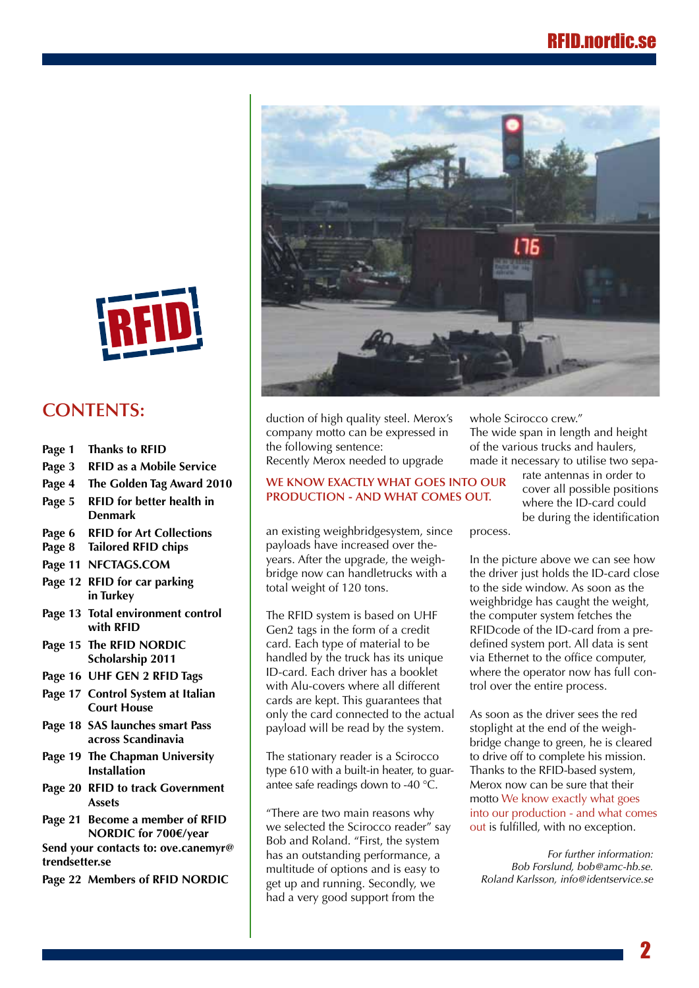the ID-card close to the side window. As soon as the



dle trucks with a total with a total with a total weight of  $120\,$ 

### **CONTENTS:**

- **[Page 1 Thanks to RFID](#page-0-0)**
- **Page 3** RFID as a Mobile Service Recently Merox needed to u
	-
- **[Page 5 RFID for better health in](#page-4-0)  Denmark** rage  $\overline{s}$  is the formation relation in
- **Page 6 RFID for Art Collections** an existing weighbri
	- **[Page 8 Tailored RFID chips](#page-7-0)**
	- **[Page 11 NFCTAGS.COM](#page-10-0)**
- **[Page 12 RFID for car parking](#page-11-0)  in Turkey** total weight of 120 tons.<br> $\frac{1}{2}$  in Turkey
	- **[Page 13 Total environment control](#page-12-0)  [with RFID](#page-12-0)**
	- **Page 15 [The RFID NORDIC](#page-14-0)  [Scholarship 2011](#page-14-0)**
	- **[Page 16 UHF GEN 2 RFID Tags](#page-15-0)**
	- **[Page 17 Control System at Italian](#page-16-0)  [Court House](#page-16-0)**
	- **[Page 18 SAS launches smart Pass](#page-17-0)  [across Scandinavia](#page-17-0)**
	- **Page 19 [The Chapman University](#page-18-0)  [Installation](#page-18-0)**
	- **[Page 20 RFID to track Government](#page-19-0)  [Assets](#page-19-0)**
	- **[Page 21 Become a member of RFID](#page-20-0) NORDIC for 700€/year**

**Send your contacts to: [ove.canemyr@](mailto:ove.canemyr@trendsetter.se) [trendsetter.se](mailto:ove.canemyr@trendsetter.se)**

**[Page 22 Members of RFID NORDIC](#page-21-0)**



duction of high quality steel. Merox's company motto can be expressed in **Page 1** Thanks to RFID **the following sentence:** Thanks to RFID Recently Merox needed to upgrade

#### **Page 4 The Golden Tag Award 2010** has an [outstanding](#page-3-0) [performance,](#page-3-0) a multitude of options **We know exactly what goes into our production - and what comes out.**

an existing weighbridgesystem, since payloads have increased over theyears. After the upgrade, the weigh-Page 11 NFCTAGS.COM bridge now can handletrucks with a length of the various trucks with a length of the various trucks with a length of the various trucks with a length of the various trucks with a length of the various t

> The RFID system is based on UHF Gen2 tags in the form of a credit card. Each type of material to be handled by the truck has its unique ID-card. Each driver has a booklet with Alu-covers where all different cards are kept. This guarantees that only the card connected to the actual payload will be read by the system.

> The stationary reader is a Scirocco type 610 with a built-in heater, to guarantee safe readings down to -40 °C.

"There are two main reasons why we selected the Scirocco reader" say Bob and Roland. "First, the system has an outstanding performance, a multitude of options and is easy to get up and running. Secondly, we had a very good support from the

whole Scirocco crew."  $\overline{\text{Cov}}$  and the sendered error.<br>The wide span in length and height of the various trucks and haulers, made it necessary to utilise two sepa-his mission. Thanks to the RFID-based system, Merox

**ES INTO OUR** rate antennas in order to cover all possible positions  $MES OUT.$  Where the ID-card could be during the identification<br>
nce process

process.

In the picture above we can see how the driver just holds the ID-card close to the side window. As soon as the weighbridge has caught the weight, weighbridge has caught the weight,<br>the computer system fetches the RFIDcode of the ID-card from a predefined system port. All data is sent via Ethernet to the office computer, where the operator now has full control over the entire process. *ard* crose.<br>as the

As soon as the driver sees the red stoplight at the end of the weighbridge change to green, he is cleared to drive off to complete his mission. Thanks to the RFID-based system, Merox now can be sure that their motto We know exactly what goes into our production - and what comes out is fulfilled, with no exception.

*For further information: Bob Forslund, bob@amc-hb.se. Roland Karlsson, info@identservice.se*

2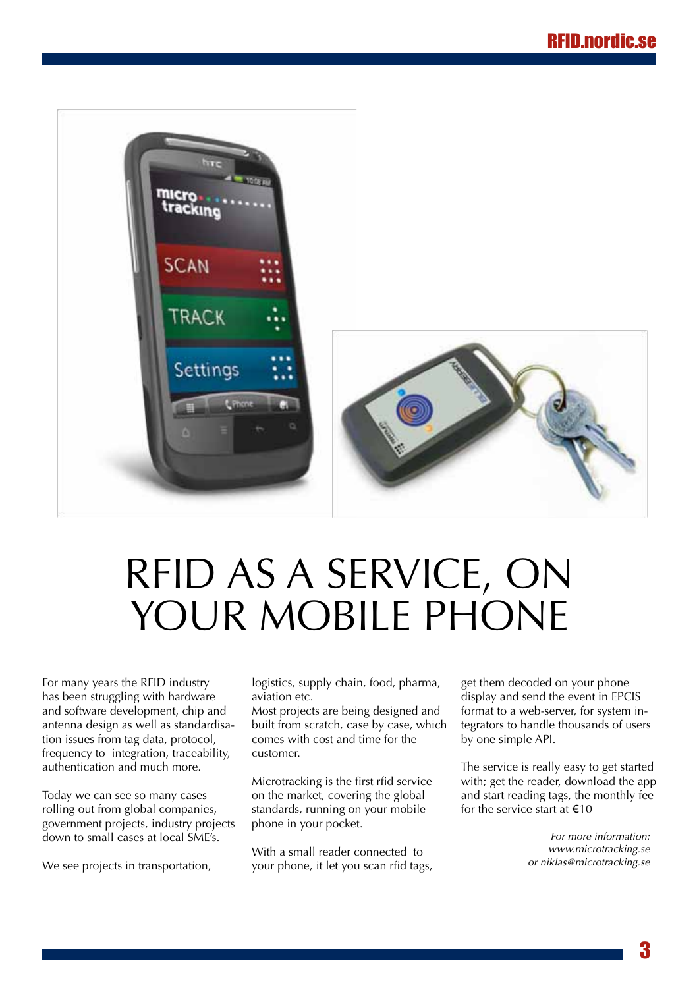<span id="page-2-0"></span>

## RFID as a service, on YOUR MOBILE PHONE

For many years the RFID industry has been struggling with hardware and software development, chip and antenna design as well as standardisation issues from tag data, protocol, frequency to integration, traceability, authentication and much more.

Today we can see so many cases rolling out from global companies, government projects, industry projects down to small cases at local SME's.

We see projects in transportation,

logistics, supply chain, food, pharma, aviation etc.

Most projects are being designed and built from scratch, case by case, which comes with cost and time for the customer.

Microtracking is the first rfid service on the market, covering the global standards, running on your mobile phone in your pocket.

With a small reader connected to your phone, it let you scan rfid tags,

get them decoded on your phone display and send the event in EPCIS format to a web-server, for system integrators to handle thousands of users by one simple API.

The service is really easy to get started with; get the reader, download the app and start reading tags, the monthly fee for the service start at  $€10$ 

> *For more information: <www.microtracking.se> or niklas@microtracking.se*

> > 3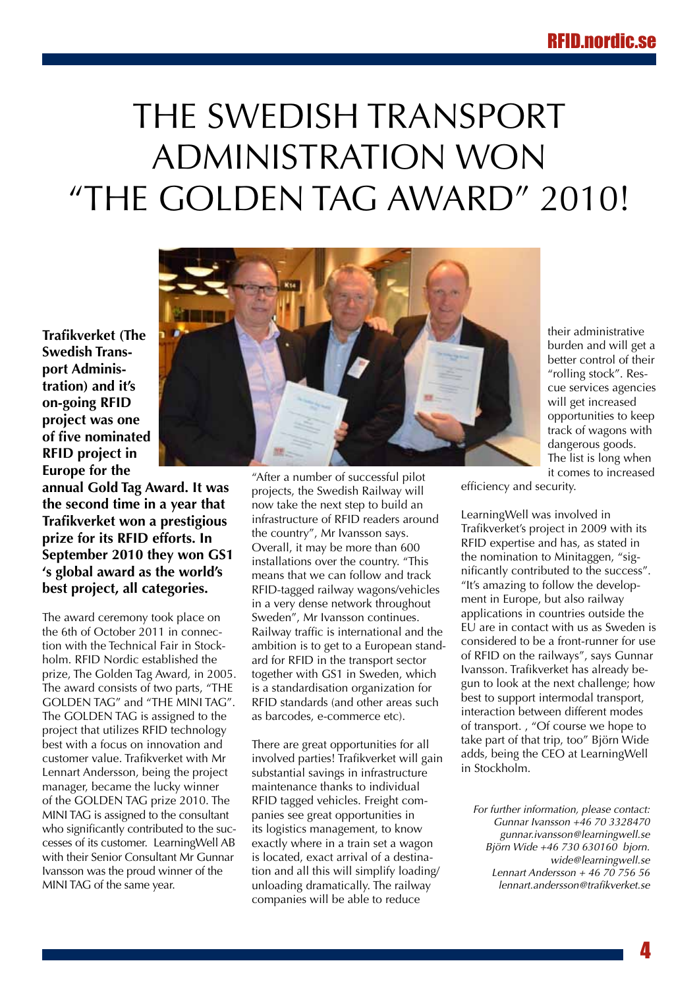### <span id="page-3-0"></span>The Swedish Transport Administration won "The Golden Tag Award" 2010!

**Trafikverket (The Swedish Transport Administration) and it's on-going RFID project was one of five nominated RFID project in Europe for the** 

**annual Gold Tag Award. It was the second time in a year that Trafikverket won a prestigious prize for its RFID efforts. In September 2010 they won GS1 's global award as the world's best project, all categories.** 

The award ceremony took place on the 6th of October 2011 in connection with the Technical Fair in Stockholm. RFID Nordic established the prize, The Golden Tag Award, in 2005. The award consists of two parts, "THE GOLDEN TAG" and "THE MINI TAG". The GOLDEN TAG is assigned to the project that utilizes RFID technology best with a focus on innovation and customer value. Trafikverket with Mr Lennart Andersson, being the project manager, became the lucky winner of the GOLDEN TAG prize 2010. The MINI TAG is assigned to the consultant who significantly contributed to the successes of its customer. LearningWell AB with their Senior Consultant Mr Gunnar Ivansson was the proud winner of the MINI TAG of the same year.



their administrative burden and will get a better control of their "rolling stock". Rescue services agencies will get increased opportunities to keep track of wagons with dangerous goods. The list is long when it comes to increased

"After a number of successful pilot projects, the Swedish Railway will now take the next step to build an infrastructure of RFID readers around the country", Mr Ivansson says. Overall, it may be more than 600 installations over the country. "This means that we can follow and track RFID-tagged railway wagons/vehicles in a very dense network throughout Sweden", Mr Ivansson continues. Railway traffic is international and the ambition is to get to a European standard for RFID in the transport sector together with GS1 in Sweden, which is a standardisation organization for RFID standards (and other areas such as barcodes, e-commerce etc).

There are great opportunities for all involved parties! Trafikverket will gain substantial savings in infrastructure maintenance thanks to individual RFID tagged vehicles. Freight companies see great opportunities in its logistics management, to know exactly where in a train set a wagon is located, exact arrival of a destination and all this will simplify loading/ unloading dramatically. The railway companies will be able to reduce

efficiency and security.

LearningWell was involved in Trafikverket's project in 2009 with its RFID expertise and has, as stated in the nomination to Minitaggen, "significantly contributed to the success". "It's amazing to follow the development in Europe, but also railway applications in countries outside the EU are in contact with us as Sweden is considered to be a front-runner for use of RFID on the railways", says Gunnar Ivansson. Trafikverket has already begun to look at the next challenge; how best to support intermodal transport, interaction between different modes of transport. , "Of course we hope to take part of that trip, too" Björn Wide adds, being the CEO at LearningWell in Stockholm.

*For further information, please contact: Gunnar Ivansson +46 70 3328470 gunnar.ivansson@learningwell.se Björn Wide +46 730 630160 bjorn. wide@learningwell.se Lennart Andersson + 46 70 756 56 lennart.andersson@trafikverket.se*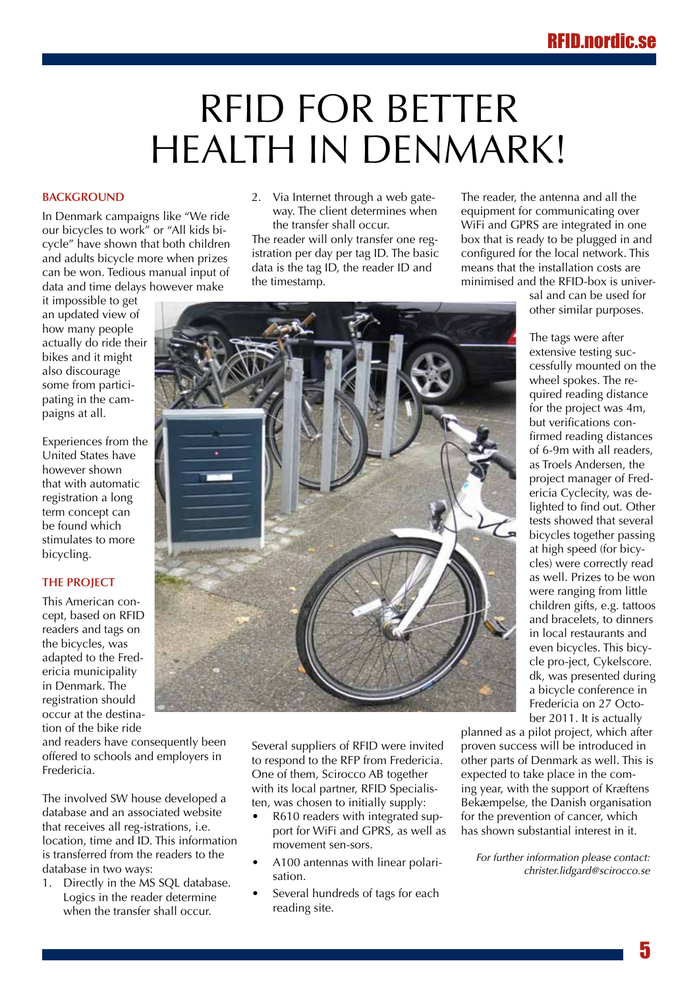### <span id="page-4-0"></span>RFID for better health in Denmark!

#### **BACKGROUND**

In Denmark campaigns like "We ride our bicycles to work" or "All kids bicycle" have shown that both children and adults bicycle more when prizes can be won. Tedious manual input of data and time delays however make

it impossible to get an updated view of how many people actually do ride their bikes and it might also discourage some from participating in the campaigns at all.

Experiences from the United States have however shown that with automatic registration a long term concept can be found which stimulates to more bicycling.

#### **The project**

This American concept, based on RFID readers and tags on the bicycles, was adapted to the Fredericia municipality in Denmark. The registration should occur at the destination of the bike ride

and readers have consequently been offered to schools and employers in Fredericia.

The involved SW house developed a database and an associated website that receives all reg-istrations, i.e. location, time and ID. This information is transferred from the readers to the database in two ways:

1. Directly in the MS SQL database. Logics in the reader determine when the transfer shall occur.

2. Via Internet through a web gateway. The client determines when the transfer shall occur.

The reader will only transfer one registration per day per tag ID. The basic data is the tag ID, the reader ID and the timestamp.

The reader, the antenna and all the equipment for communicating over WiFi and GPRS are integrated in one box that is ready to be plugged in and configured for the local network. This means that the installation costs are minimised and the RFID-box is univer-

sal and can be used for other similar purposes.

The tags were after extensive testing successfully mounted on the wheel spokes. The required reading distance for the project was 4m, but verifications confirmed reading distances of 6-9m with all readers, as Troels Andersen, the project manager of Fredericia Cyclecity, was delighted to find out. Other tests showed that several bicycles together passing at high speed (for bicycles) were correctly read as well. Prizes to be won were ranging from little children gifts, e.g. tattoos and bracelets, to dinners in local restaurants and even bicycles. This bicycle pro-ject, Cykelscore. dk, was presented during a bicycle conference in Fredericia on 27 October 2011. It is actually

Several suppliers of RFID were invited to respond to the RFP from Fredericia. One of them, Scirocco AB together with its local partner, RFID Specialisten, was chosen to initially supply:

- R610 readers with integrated support for WiFi and GPRS, as well as movement sen-sors.
- A100 antennas with linear polarisation.
- Several hundreds of tags for each reading site.

planned as a pilot project, which after proven success will be introduced in other parts of Denmark as well. This is expected to take place in the coming year, with the support of Kræftens Bekæmpelse, the Danish organisation for the prevention of cancer, which has shown substantial interest in it.

*For further information please contact: christer.lidgard@scirocco.se*

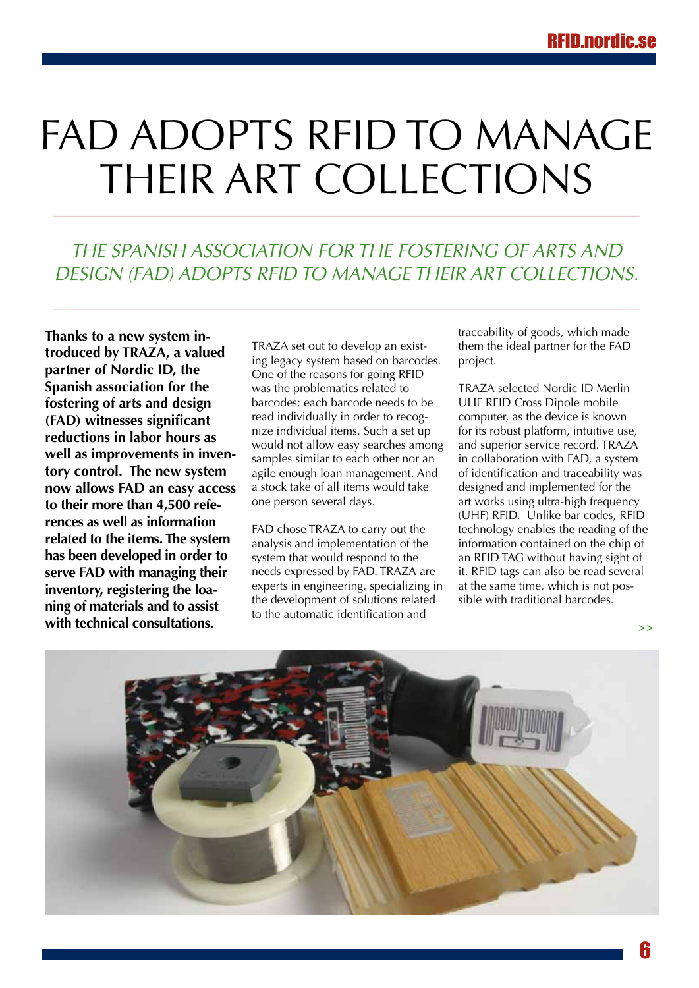## <span id="page-5-0"></span>FAD ADOPTS RFID TO MANAGE THEIR ART COLLECTIONS

### *THE SPANISH ASSOCIATION FOR THE FOSTERING OF ARTS AND DESIGN (FAD) ADOPTS RFID TO MANAGE THEIR ART COLLECTIONS.*

**Thanks to a new system introduced by TRAZA, a valued partner of Nordic ID, the Spanish association for the fostering of arts and design (FAD) witnesses significant reductions in labor hours as well as improvements in inventory control. The new system now allows FAD an easy access to their more than 4,500 references as well as information related to the items. The system has been developed in order to serve FAD with managing their inventory, registering the loaning of materials and to assist with technical consultations.**

TRAZA set out to develop an existing legacy system based on barcodes. One of the reasons for going RFID was the problematics related to barcodes: each barcode needs to be read individually in order to recognize individual items. Such a set up would not allow easy searches among samples similar to each other nor an agile enough loan management. And a stock take of all items would take one person several days.

FAD chose TRAZA to carry out the analysis and implementation of the system that would respond to the needs expressed by FAD. TRAZA are experts in engineering, specializing in the development of solutions related to the automatic identification and

traceability of goods, which made them the ideal partner for the FAD project.

TRAZA selected Nordic ID Merlin UHF RFID Cross Dipole mobile computer, as the device is known for its robust platform, intuitive use, and superior service record. TRAZA in collaboration with FAD, a system of identification and traceability was designed and implemented for the art works using ultra-high frequency (UHF) RFID. Unlike bar codes, RFID technology enables the reading of the information contained on the chip of an RFID TAG without having sight of it. RFID tags can also be read several at the same time, which is not possible with traditional barcodes.



**>>**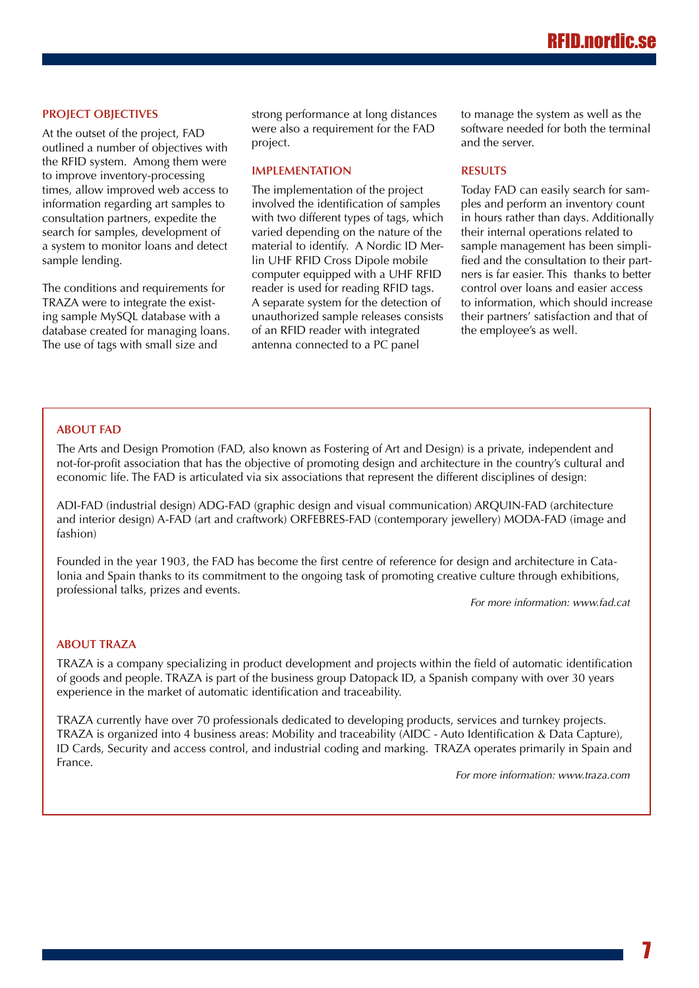#### **PROJECT OBJECTIVES**

At the outset of the project, FAD outlined a number of objectives with the RFID system. Among them were to improve inventory-processing times, allow improved web access to information regarding art samples to consultation partners, expedite the search for samples, development of a system to monitor loans and detect sample lending.

The conditions and requirements for TRAZA were to integrate the existing sample MySQL database with a database created for managing loans. The use of tags with small size and

strong performance at long distances were also a requirement for the FAD project.

#### **IMPLEMENTATION**

The implementation of the project involved the identification of samples with two different types of tags, which varied depending on the nature of the material to identify. A Nordic ID Merlin UHF RFID Cross Dipole mobile computer equipped with a UHF RFID reader is used for reading RFID tags. A separate system for the detection of unauthorized sample releases consists of an RFID reader with integrated antenna connected to a PC panel

to manage the system as well as the software needed for both the terminal and the server.

#### **RESULTS**

Today FAD can easily search for samples and perform an inventory count in hours rather than days. Additionally their internal operations related to sample management has been simplified and the consultation to their partners is far easier. This thanks to better control over loans and easier access to information, which should increase their partners' satisfaction and that of the employee's as well.

#### **ABOUT FAD**

The Arts and Design Promotion (FAD, also known as Fostering of Art and Design) is a private, independent and not-for-profit association that has the objective of promoting design and architecture in the country's cultural and economic life. The FAD is articulated via six associations that represent the different disciplines of design:

ADI-FAD (industrial design) ADG-FAD (graphic design and visual communication) ARQUIN-FAD (architecture and interior design) A-FAD (art and craftwork) ORFEBRES-FAD (contemporary jewellery) MODA-FAD (image and fashion)

Founded in the year 1903, the FAD has become the first centre of reference for design and architecture in Catalonia and Spain thanks to its commitment to the ongoing task of promoting creative culture through exhibitions, professional talks, prizes and events.

*For more information: <www.fad.cat>*

#### **ABOUT TRAZA**

TRAZA is a company specializing in product development and projects within the field of automatic identification of goods and people. TRAZA is part of the business group Datopack ID, a Spanish company with over 30 years experience in the market of automatic identification and traceability.

TRAZA currently have over 70 professionals dedicated to developing products, services and turnkey projects. TRAZA is organized into 4 business areas: Mobility and traceability (AIDC - Auto Identification & Data Capture), ID Cards, Security and access control, and industrial coding and marking. TRAZA operates primarily in Spain and France.

*For more information:<www.traza.com>*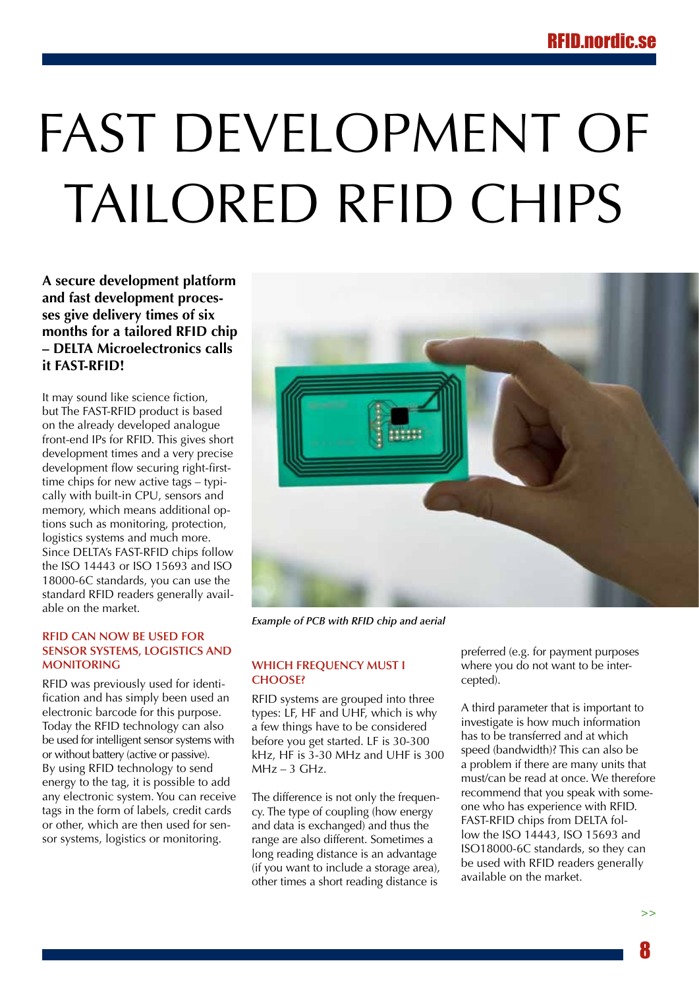# <span id="page-7-0"></span>Fast development of tailored RFID chips

**A secure development platform and fast development processes give delivery times of six months for a tailored RFID chip – DELTA Microelectronics calls it FAST-RFID!** 

It may sound like science fiction, but The FAST-RFID product is based on the already developed analogue front-end IPs for RFID. This gives short development times and a very precise development flow securing right-firsttime chips for new active tags – typically with built-in CPU, sensors and memory, which means additional options such as monitoring, protection, logistics systems and much more. Since DELTA's FAST-RFID chips follow the ISO 14443 or ISO 15693 and ISO 18000-6C standards, you can use the standard RFID readers generally available on the market.

#### **RFID can now be used for sensor systems, logistics and monitoring**

RFID was previously used for identification and has simply been used an electronic barcode for this purpose. Today the RFID technology can also be used for intelligent sensor systems with or without battery (active or passive). By using RFID technology to send energy to the tag, it is possible to add any electronic system. You can receive tags in the form of labels, credit cards or other, which are then used for sensor systems, logistics or monitoring.



*Example of PCB with RFID chip and aerial*

#### **Which frequency must I choose?**

RFID systems are grouped into three types: LF, HF and UHF, which is why a few things have to be considered before you get started. LF is 30-300 kHz, HF is 3-30 MHz and UHF is 300  $MHz - 3 GHz.$ 

The difference is not only the frequency. The type of coupling (how energy and data is exchanged) and thus the range are also different. Sometimes a long reading distance is an advantage (if you want to include a storage area), other times a short reading distance is preferred (e.g. for payment purposes where you do not want to be intercepted).

A third parameter that is important to investigate is how much information has to be transferred and at which speed (bandwidth)? This can also be a problem if there are many units that must/can be read at once. We therefore recommend that you speak with someone who has experience with RFID. FAST-RFID chips from DELTA follow the ISO 14443, ISO 15693 and ISO18000-6C standards, so they can be used with RFID readers generally available on the market.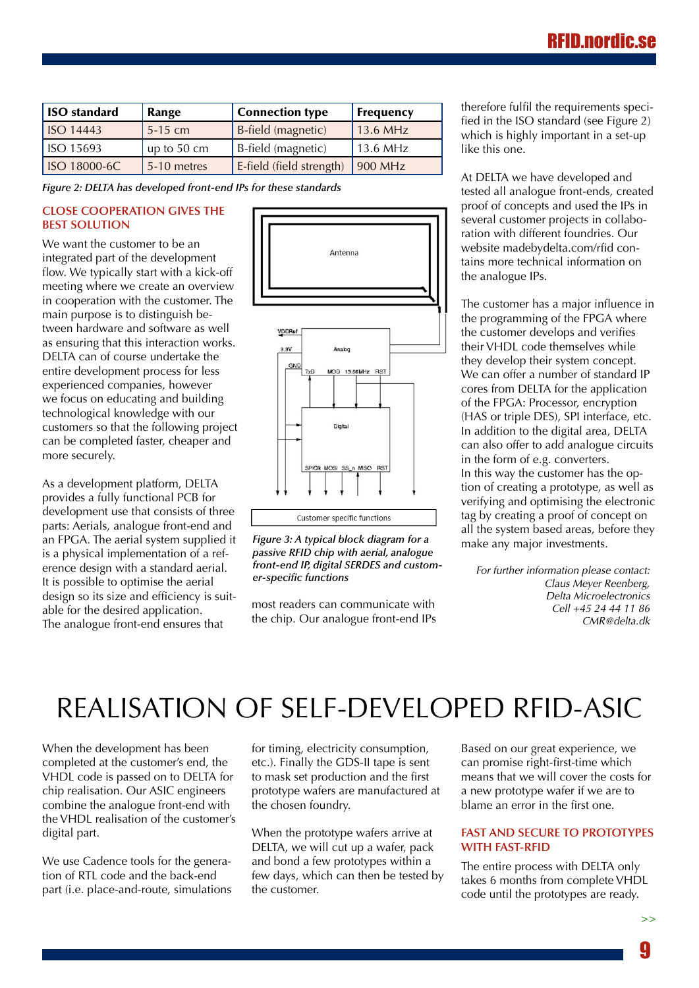| <b>ISO</b> standard      | Range       | <b>Connection type</b>   | <b>Frequency</b> |
|--------------------------|-------------|--------------------------|------------------|
| $\overline{1}$ ISO 14443 | $5-15$ cm   | B-field (magnetic)       | 13.6 MHz         |
| $\sqrt{150}$ 15693       | up to 50 cm | B-field (magnetic)       | 13.6 MHz         |
| ISO 18000-6C             | 5-10 metres | E-field (field strength) | 900 MHz          |

*Figure 2: DELTA has developed front-end IPs for these standards*

#### **Close cooperation gives the best solution**

We want the customer to be an integrated part of the development flow. We typically start with a kick-off meeting where we create an overview in cooperation with the customer. The main purpose is to distinguish between hardware and software as well as ensuring that this interaction works. DELTA can of course undertake the entire development process for less experienced companies, however we focus on educating and building technological knowledge with our customers so that the following project can be completed faster, cheaper and more securely.

As a development platform, DELTA provides a fully functional PCB for development use that consists of three parts: Aerials, analogue front-end and an FPGA. The aerial system supplied it is a physical implementation of a reference design with a standard aerial. It is possible to optimise the aerial design so its size and efficiency is suitable for the desired application. The analogue front-end ensures that



*Figure 3: A typical block diagram for a passive RFID chip with aerial, analogue front-end IP, digital SERDES and customer-specific functions*

most readers can communicate with the chip. Our analogue front-end IPs therefore fulfil the requirements specified in the ISO standard (see Figure 2) which is highly important in a set-up like this one.

At DELTA we have developed and tested all analogue front-ends, created proof of concepts and used the IPs in several customer projects in collaboration with different foundries. Our website [madebydelta.com/rfid](http://www.madebydelta.com/rfid) contains more technical information on the analogue IPs.

The customer has a major influence in the programming of the FPGA where the customer develops and verifies their VHDL code themselves while they develop their system concept. We can offer a number of standard IP cores from DELTA for the application of the FPGA: Processor, encryption (HAS or triple DES), SPI interface, etc. In addition to the digital area, DELTA can also offer to add analogue circuits in the form of e.g. converters. In this way the customer has the option of creating a prototype, as well as verifying and optimising the electronic tag by creating a proof of concept on all the system based areas, before they make any major investments.

*For further information please contact: Claus Meyer Reenberg, Delta Microelectronics Cell +45 24 44 11 86 CMR@delta.dk*

### Realisation of self-developed RFID-ASIC

When the development has been completed at the customer's end, the VHDL code is passed on to DELTA for chip realisation. Our ASIC engineers combine the analogue front-end with the VHDL realisation of the customer's digital part.

We use Cadence tools for the generation of RTL code and the back-end part (i.e. place-and-route, simulations for timing, electricity consumption, etc.). Finally the GDS-II tape is sent to mask set production and the first prototype wafers are manufactured at the chosen foundry.

When the prototype wafers arrive at DELTA, we will cut up a wafer, pack and bond a few prototypes within a few days, which can then be tested by the customer.

Based on our great experience, we can promise right-first-time which means that we will cover the costs for a new prototype wafer if we are to blame an error in the first one.

#### **Fast and secure to prototypes with FAST-RFID**

The entire process with DELTA only takes 6 months from complete VHDL code until the prototypes are ready.

**>>**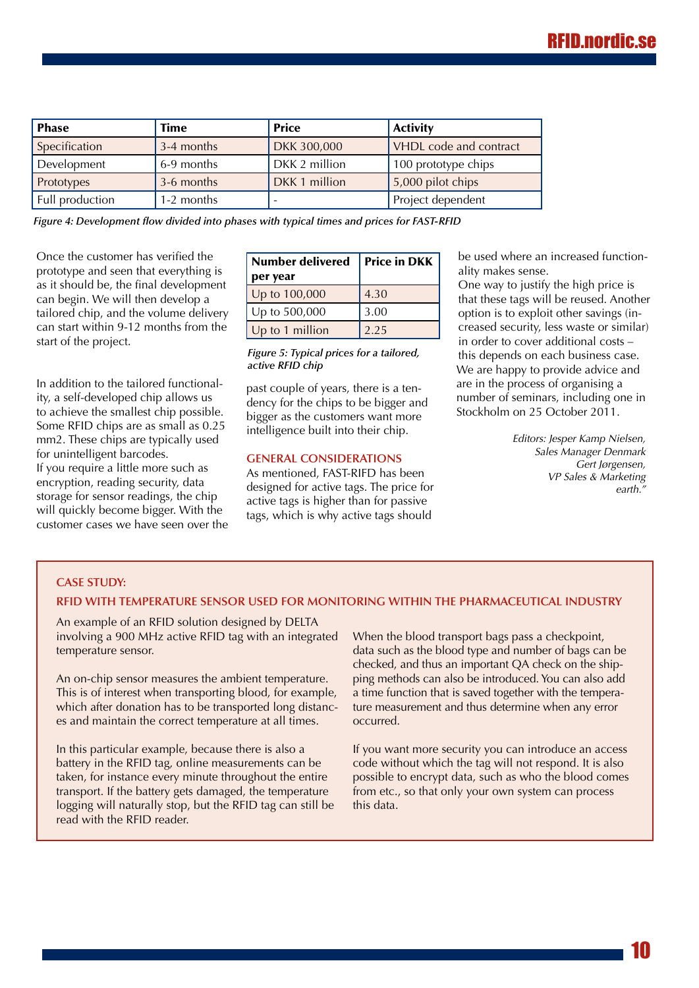| <b>Phase</b>    | Time       | <b>Price</b>  | <b>Activity</b>        |
|-----------------|------------|---------------|------------------------|
| Specification   | 3-4 months | DKK 300,000   | VHDL code and contract |
| Development     | 6-9 months | DKK 2 million | 100 prototype chips    |
| Prototypes      | 3-6 months | DKK 1 million | 5,000 pilot chips      |
| Full production | 1-2 months |               | Project dependent      |

*Figure 4: Development flow divided into phases with typical times and prices for FAST-RFID*

Once the customer has verified the prototype and seen that everything is as it should be, the final development can begin. We will then develop a tailored chip, and the volume delivery can start within 9-12 months from the start of the project.

In addition to the tailored functionality, a self-developed chip allows us to achieve the smallest chip possible. Some RFID chips are as small as 0.25 mm2. These chips are typically used for unintelligent barcodes. If you require a little more such as encryption, reading security, data storage for sensor readings, the chip will quickly become bigger. With the customer cases we have seen over the

| <b>Number delivered</b> | <b>Price in DKK</b> |  |
|-------------------------|---------------------|--|
| per year                |                     |  |
| Up to 100,000           | 4.30                |  |
| Up to 500,000           | 3.00                |  |
| Up to 1 million         | 2.25                |  |

*Figure 5: Typical prices for a tailored, active RFID chip*

past couple of years, there is a tendency for the chips to be bigger and bigger as the customers want more intelligence built into their chip.

#### **General considerations**

As mentioned, FAST-RIFD has been designed for active tags. The price for active tags is higher than for passive tags, which is why active tags should

be used where an increased functionality makes sense.

One way to justify the high price is that these tags will be reused. Another option is to exploit other savings (increased security, less waste or similar) in order to cover additional costs – this depends on each business case. We are happy to provide advice and are in the process of organising a number of seminars, including one in Stockholm on 25 October 2011.

> *Editors: Jesper Kamp Nielsen, Sales Manager Denmark Gert Jørgensen, VP Sales & Marketing earth."*

#### **Case study:**

#### **RFID with temperature sensor used for monitoring within the pharmaceutical industry**

An example of an RFID solution designed by DELTA involving a 900 MHz active RFID tag with an integrated temperature sensor.

An on-chip sensor measures the ambient temperature. This is of interest when transporting blood, for example, which after donation has to be transported long distances and maintain the correct temperature at all times.

In this particular example, because there is also a battery in the RFID tag, online measurements can be taken, for instance every minute throughout the entire transport. If the battery gets damaged, the temperature logging will naturally stop, but the RFID tag can still be read with the RFID reader.

When the blood transport bags pass a checkpoint, data such as the blood type and number of bags can be checked, and thus an important QA check on the shipping methods can also be introduced. You can also add a time function that is saved together with the temperature measurement and thus determine when any error occurred.

If you want more security you can introduce an access code without which the tag will not respond. It is also possible to encrypt data, such as who the blood comes from etc., so that only your own system can process this data.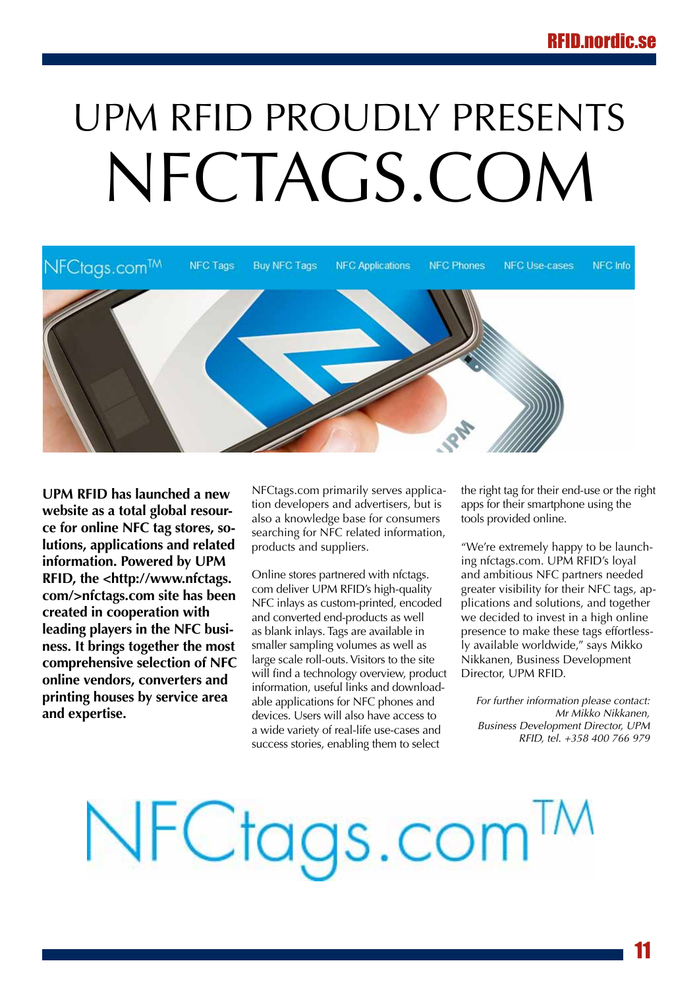# <span id="page-10-0"></span>UPM RFID proudly presents NFCTAGS.COM



**UPM RFID has launched a new website as a total global resource for online NFC tag stores, solutions, applications and related information. Powered by UPM RFID, the <http:/[/www.nfctags.](http://www.nfctags.com/>nfctags.com) [com/>nfctags.com](http://www.nfctags.com/>nfctags.com) site has been created in cooperation with leading players in the NFC business. It brings together the most comprehensive selection of NFC online vendors, converters and printing houses by service area and expertise.**

NFCtags.com primarily serves application developers and advertisers, but is also a knowledge base for consumers searching for NFC related information, products and suppliers.

Online stores partnered with nfctags. com deliver UPM RFID's high-quality NFC inlays as custom-printed, encoded and converted end-products as well as blank inlays. Tags are available in smaller sampling volumes as well as large scale roll-outs. Visitors to the site will find a technology overview, product information, useful links and downloadable applications for NFC phones and devices. Users will also have access to a wide variety of real-life use-cases and success stories, enabling them to select

the right tag for their end-use or the right apps for their smartphone using the tools provided online.

"We're extremely happy to be launching nfctags.com. UPM RFID's loyal and ambitious NFC partners needed greater visibility for their NFC tags, applications and solutions, and together we decided to invest in a high online presence to make these tags effortlessly available worldwide," says Mikko Nikkanen, Business Development Director, UPM RFID.

*For further information please contact: Mr Mikko Nikkanen, Business Development Director, UPM RFID, tel. +358 400 766 979*

# NFCtags.com<sup>TM</sup>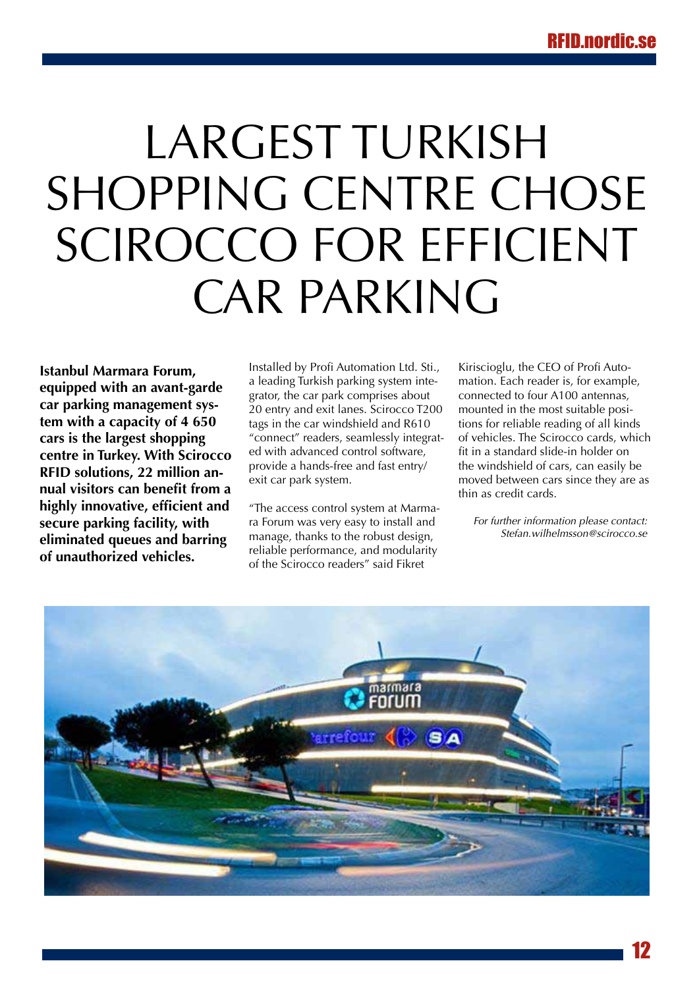# <span id="page-11-0"></span>Largest Turkish shopping centre chose Scirocco for efficient car parking

**Istanbul Marmara Forum, equipped with an avant-garde car parking management system with a capacity of 4 650 cars is the largest shopping centre in Turkey. With Scirocco RFID solutions, 22 million annual visitors can benefit from a highly innovative, efficient and secure parking facility, with eliminated queues and barring of unauthorized vehicles.**

Installed by Profi Automation Ltd. Sti., a leading Turkish parking system integrator, the car park comprises about 20 entry and exit lanes. Scirocco T200 tags in the car windshield and R610 "connect" readers, seamlessly integrated with advanced control software, provide a hands-free and fast entry/ exit car park system.

"The access control system at Marmara Forum was very easy to install and manage, thanks to the robust design, reliable performance, and modularity of the Scirocco readers" said Fikret

Kiriscioglu, the CEO of Profi Automation. Each reader is, for example, connected to four A100 antennas, mounted in the most suitable positions for reliable reading of all kinds of vehicles. The Scirocco cards, which fit in a standard slide-in holder on the windshield of cars, can easily be moved between cars since they are as thin as credit cards.

*For further information please contact: Stefan.wilhelmsson@scirocco.se*

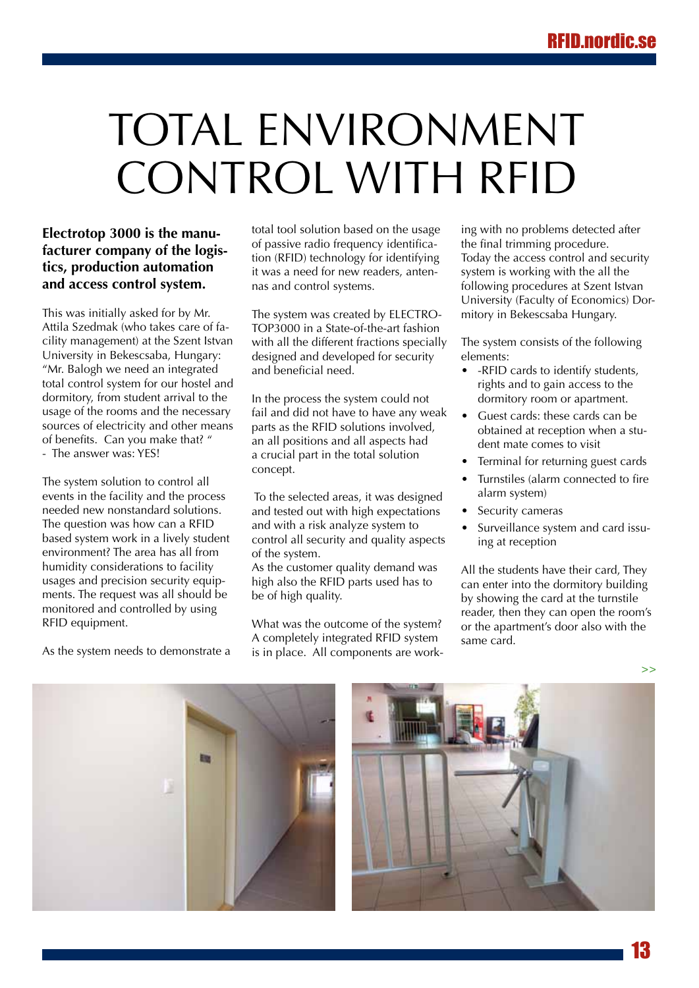# <span id="page-12-0"></span>Total environment control with RFID

#### **Electrotop 3000 is the manufacturer company of the logistics, production automation and access control system.**

This was initially asked for by Mr. Attila Szedmak (who takes care of facility management) at the Szent Istvan University in Bekescsaba, Hungary: "Mr. Balogh we need an integrated total control system for our hostel and dormitory, from student arrival to the usage of the rooms and the necessary sources of electricity and other means of benefits. Can you make that? " - The answer was: YES!

The system solution to control all events in the facility and the process needed new nonstandard solutions. The question was how can a RFID based system work in a lively student environment? The area has all from humidity considerations to facility usages and precision security equipments. The request was all should be monitored and controlled by using RFID equipment.

As the system needs to demonstrate a

total tool solution based on the usage of passive radio frequency identification (RFID) technology for identifying it was a need for new readers, antennas and control systems.

The system was created by ELECTRO-TOP3000 in a State-of-the-art fashion with all the different fractions specially designed and developed for security and beneficial need.

In the process the system could not fail and did not have to have any weak parts as the RFID solutions involved, an all positions and all aspects had a crucial part in the total solution concept.

 To the selected areas, it was designed and tested out with high expectations and with a risk analyze system to control all security and quality aspects of the system.

As the customer quality demand was high also the RFID parts used has to be of high quality.

What was the outcome of the system? A completely integrated RFID system is in place. All components are working with no problems detected after the final trimming procedure. Today the access control and security system is working with the all the following procedures at Szent Istvan University (Faculty of Economics) Dormitory in Bekescsaba Hungary.

The system consists of the following elements:

- -RFID cards to identify students, rights and to gain access to the dormitory room or apartment.
- Guest cards: these cards can be obtained at reception when a student mate comes to visit
- Terminal for returning guest cards
- • Turnstiles (alarm connected to fire alarm system)
- Security cameras
- Surveillance system and card issuing at reception

All the students have their card, They can enter into the dormitory building by showing the card at the turnstile reader, then they can open the room's or the apartment's door also with the same card.





**>>**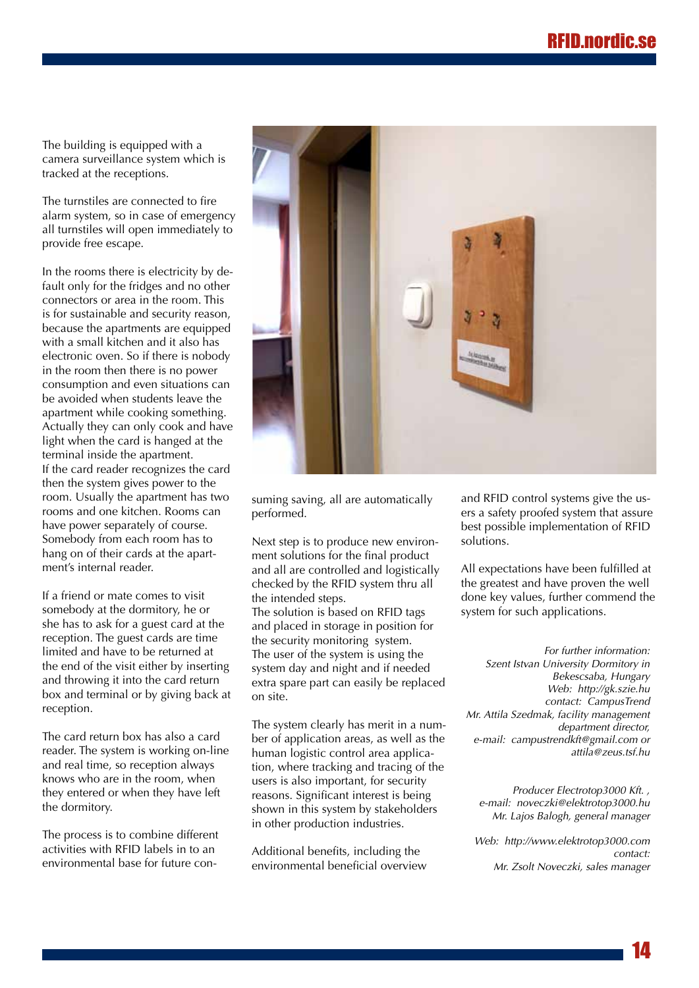The building is equipped with a camera surveillance system which is tracked at the receptions.

The turnstiles are connected to fire alarm system, so in case of emergency all turnstiles will open immediately to provide free escape.

In the rooms there is electricity by default only for the fridges and no other connectors or area in the room. This is for sustainable and security reason, because the apartments are equipped with a small kitchen and it also has electronic oven. So if there is nobody in the room then there is no power consumption and even situations can be avoided when students leave the apartment while cooking something. Actually they can only cook and have light when the card is hanged at the terminal inside the apartment. If the card reader recognizes the card then the system gives power to the room. Usually the apartment has two rooms and one kitchen. Rooms can have power separately of course. Somebody from each room has to hang on of their cards at the apartment's internal reader.

If a friend or mate comes to visit somebody at the dormitory, he or she has to ask for a guest card at the reception. The guest cards are time limited and have to be returned at the end of the visit either by inserting and throwing it into the card return box and terminal or by giving back at reception.

The card return box has also a card reader. The system is working on-line and real time, so reception always knows who are in the room, when they entered or when they have left the dormitory.

The process is to combine different activities with RFID labels in to an environmental base for future con-



suming saving, all are automatically performed.

Next step is to produce new environment solutions for the final product and all are controlled and logistically checked by the RFID system thru all the intended steps. The solution is based on RFID tags and placed in storage in position for the security monitoring system. The user of the system is using the system day and night and if needed extra spare part can easily be replaced on site.

The system clearly has merit in a number of application areas, as well as the human logistic control area application, where tracking and tracing of the users is also important, for security reasons. Significant interest is being shown in this system by stakeholders in other production industries.

Additional benefits, including the environmental beneficial overview and RFID control systems give the users a safety proofed system that assure best possible implementation of RFID solutions.

All expectations have been fulfilled at the greatest and have proven the well done key values, further commend the system for such applications.

*For further information: Szent Istvan University Dormitory in Bekescsaba, Hungary Web: http://gk.szie.hu contact: CampusTrend Mr. Attila Szedmak, facility management department director, e-mail: campustrendkft@gmail.com or attila@zeus.tsf.hu*

*Producer Electrotop3000 Kft. , e-mail: noveczki@elektrotop3000.hu Mr. Lajos Balogh, general manager*

*Web: http://www.elektrotop3000.com contact: Mr. Zsolt Noveczki, sales manager*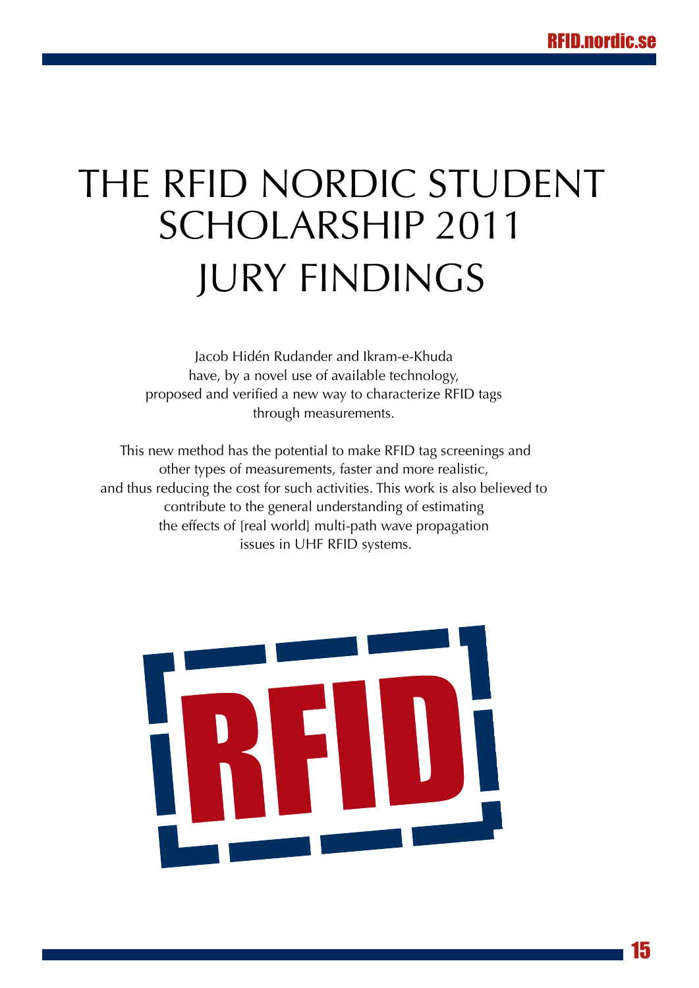## <span id="page-14-0"></span>THE RFID NORDIC STUDENT Scholarship 2011 **JURY FINDINGS**

Jacob Hidén Rudander and Ikram-e-Khuda have, by a novel use of available technology, proposed and verified a new way to characterize RFID tags through measurements.

 This new method has the potential to make RFID tag screenings and other types of measurements, faster and more realistic, and thus reducing the cost for such activities. This work is also believed to contribute to the general understanding of estimating the effects of [real world] multi-path wave propagation issues in UHF RFID systems.

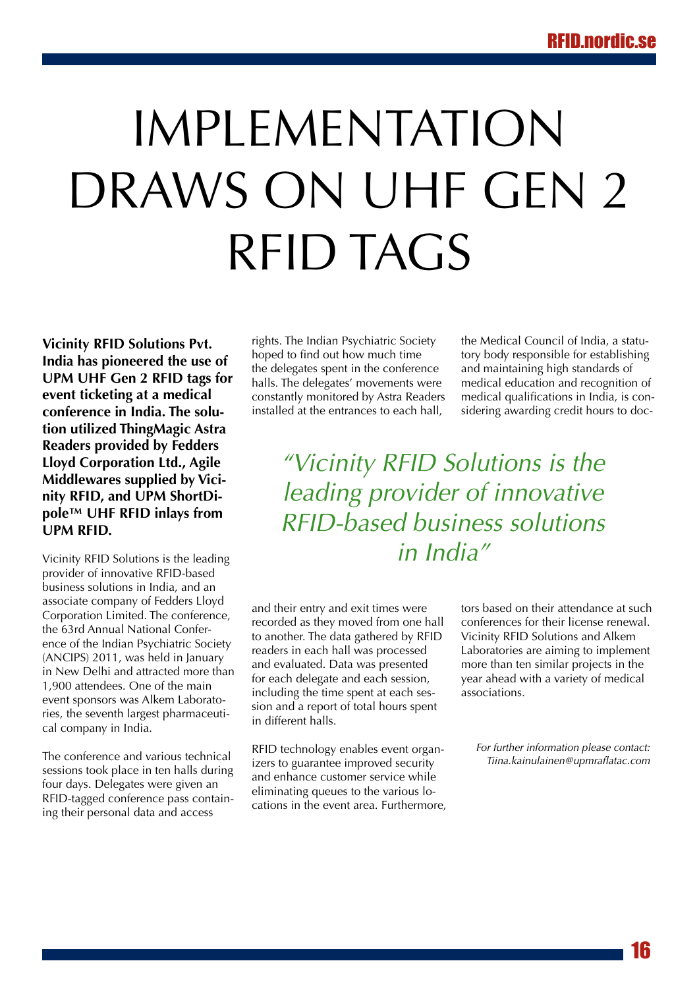# <span id="page-15-0"></span>IMPI EMENTATION DRAWS ON UHF GEN 2 RFID TAGS

**Vicinity RFID Solutions Pvt. India has pioneered the use of UPM UHF Gen 2 RFID tags for event ticketing at a medical conference in India. The solution utilized ThingMagic Astra Readers provided by Fedders Lloyd Corporation Ltd., Agile Middlewares supplied by Vicinity RFID, and UPM ShortDipole™ UHF RFID inlays from UPM RFID.** 

Vicinity RFID Solutions is the leading provider of innovative RFID-based business solutions in India, and an associate company of Fedders Lloyd Corporation Limited. The conference, the 63rd Annual National Conference of the Indian Psychiatric Society (ANCIPS) 2011, was held in January in New Delhi and attracted more than 1,900 attendees. One of the main event sponsors was Alkem Laboratories, the seventh largest pharmaceutical company in India.

The conference and various technical sessions took place in ten halls during four days. Delegates were given an RFID-tagged conference pass containing their personal data and access

rights. The Indian Psychiatric Society hoped to find out how much time the delegates spent in the conference halls. The delegates' movements were constantly monitored by Astra Readers installed at the entrances to each hall,

the Medical Council of India, a statutory body responsible for establishing and maintaining high standards of medical education and recognition of medical qualifications in India, is considering awarding credit hours to doc-

*"Vicinity RFID Solutions is the leading provider of innovative RFID-based business solutions in India"*

and their entry and exit times were recorded as they moved from one hall to another. The data gathered by RFID readers in each hall was processed and evaluated. Data was presented for each delegate and each session, including the time spent at each session and a report of total hours spent in different halls.

RFID technology enables event organizers to guarantee improved security and enhance customer service while eliminating queues to the various locations in the event area. Furthermore, tors based on their attendance at such conferences for their license renewal. Vicinity RFID Solutions and Alkem Laboratories are aiming to implement more than ten similar projects in the year ahead with a variety of medical associations.

*For further information please contact: Tiina.kainulainen@upmraflatac.com*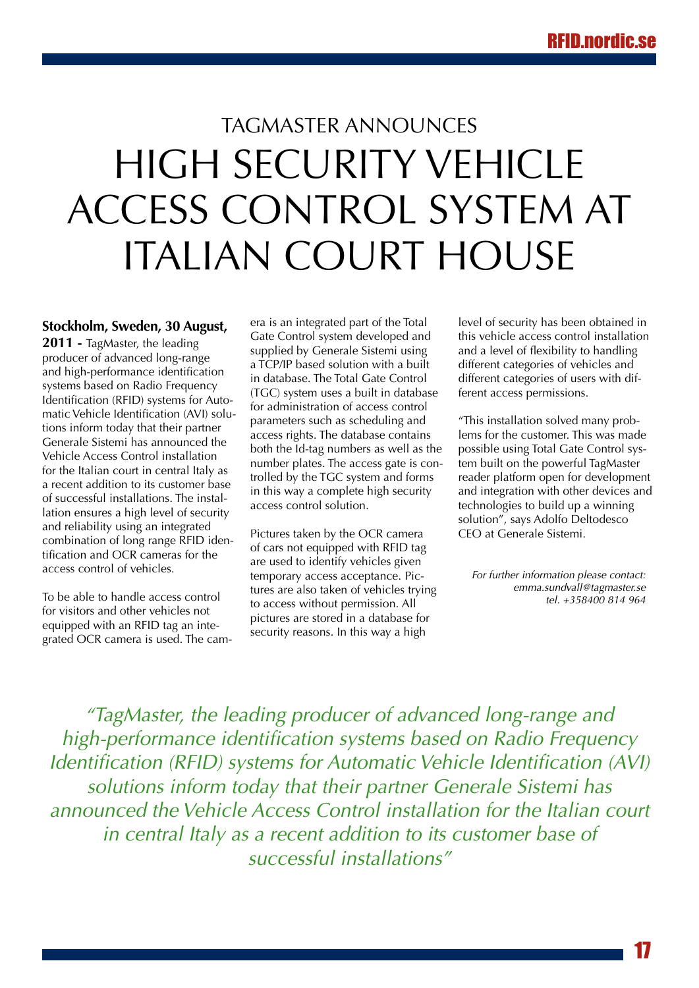### <span id="page-16-0"></span>TagMaster announces high security vehicle access control system at Italian court house

**Stockholm, Sweden, 30 August,** 

**2011 -** TagMaster, the leading producer of advanced long-range and high-performance identification systems based on Radio Frequency Identification (RFID) systems for Automatic Vehicle Identification (AVI) solutions inform today that their partner Generale Sistemi has announced the Vehicle Access Control installation for the Italian court in central Italy as a recent addition to its customer base of successful installations. The installation ensures a high level of security and reliability using an integrated combination of long range RFID identification and OCR cameras for the access control of vehicles.

To be able to handle access control for visitors and other vehicles not equipped with an RFID tag an integrated OCR camera is used. The camera is an integrated part of the Total Gate Control system developed and supplied by Generale Sistemi using a TCP/IP based solution with a built in database. The Total Gate Control (TGC) system uses a built in database for administration of access control parameters such as scheduling and access rights. The database contains both the Id-tag numbers as well as the number plates. The access gate is controlled by the TGC system and forms in this way a complete high security access control solution.

Pictures taken by the OCR camera of cars not equipped with RFID tag are used to identify vehicles given temporary access acceptance. Pictures are also taken of vehicles trying to access without permission. All pictures are stored in a database for security reasons. In this way a high

level of security has been obtained in this vehicle access control installation and a level of flexibility to handling different categories of vehicles and different categories of users with different access permissions.

"This installation solved many problems for the customer. This was made possible using Total Gate Control system built on the powerful TagMaster reader platform open for development and integration with other devices and technologies to build up a winning solution", says Adolfo Deltodesco CEO at Generale Sistemi.

*For further information please contact: emma.sundvall@tagmaster.se tel. +358400 814 964*

*"TagMaster, the leading producer of advanced long-range and high-performance identification systems based on Radio Frequency Identification (RFID) systems for Automatic Vehicle Identification (AVI) solutions inform today that their partner Generale Sistemi has announced the Vehicle Access Control installation for the Italian court in central Italy as a recent addition to its customer base of successful installations"*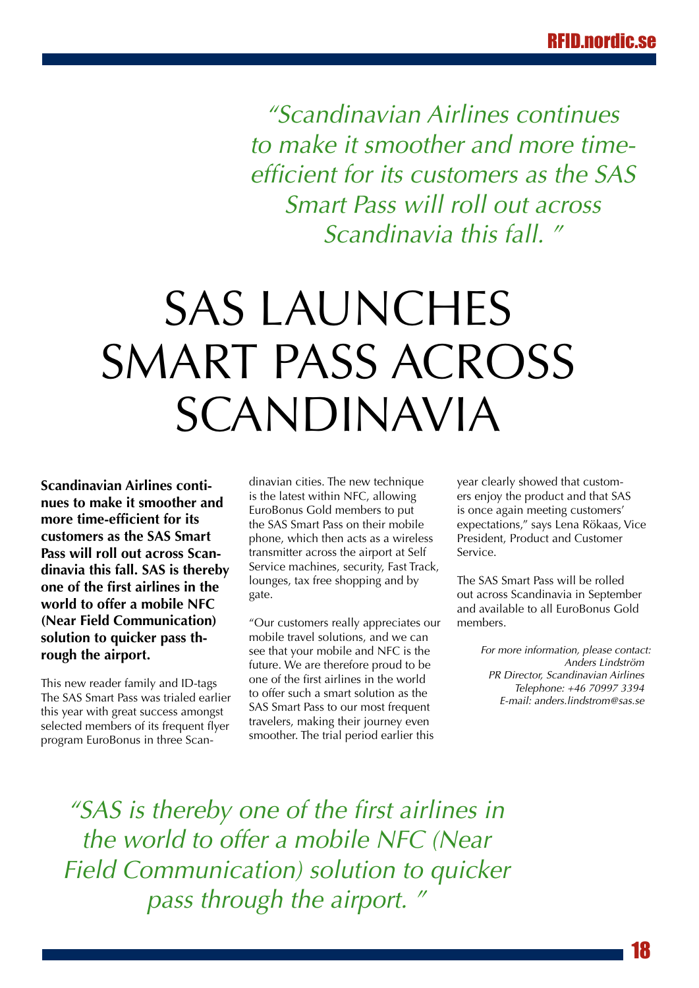<span id="page-17-0"></span>*"Scandinavian Airlines continues to make it smoother and more timeefficient for its customers as the SAS Smart Pass will roll out across Scandinavia this fall. "*

# SAS LAUNCHES SMART PASS ACROSS Scandinavia

**Scandinavian Airlines continues to make it smoother and more time-efficient for its customers as the SAS Smart Pass will roll out across Scandinavia this fall. SAS is thereby one of the first airlines in the world to offer a mobile NFC (Near Field Communication) solution to quicker pass through the airport.**

This new reader family and ID-tags The SAS Smart Pass was trialed earlier this year with great success amongst selected members of its frequent flyer program EuroBonus in three Scandinavian cities. The new technique is the latest within NFC, allowing EuroBonus Gold members to put the SAS Smart Pass on their mobile phone, which then acts as a wireless transmitter across the airport at Self Service machines, security, Fast Track, lounges, tax free shopping and by gate.

"Our customers really appreciates our mobile travel solutions, and we can see that your mobile and NFC is the future. We are therefore proud to be one of the first airlines in the world to offer such a smart solution as the SAS Smart Pass to our most frequent travelers, making their journey even smoother. The trial period earlier this

year clearly showed that customers enjoy the product and that SAS is once again meeting customers' expectations," says Lena Rökaas, Vice President, Product and Customer Service.

The SAS Smart Pass will be rolled out across Scandinavia in September and available to all EuroBonus Gold members.

> *For more information, please contact: Anders Lindström PR Director, Scandinavian Airlines Telephone: +46 70997 3394 E-mail: anders.lindstrom@sas.se*

*"SAS is thereby one of the first airlines in the world to offer a mobile NFC (Near Field Communication) solution to quicker pass through the airport. "*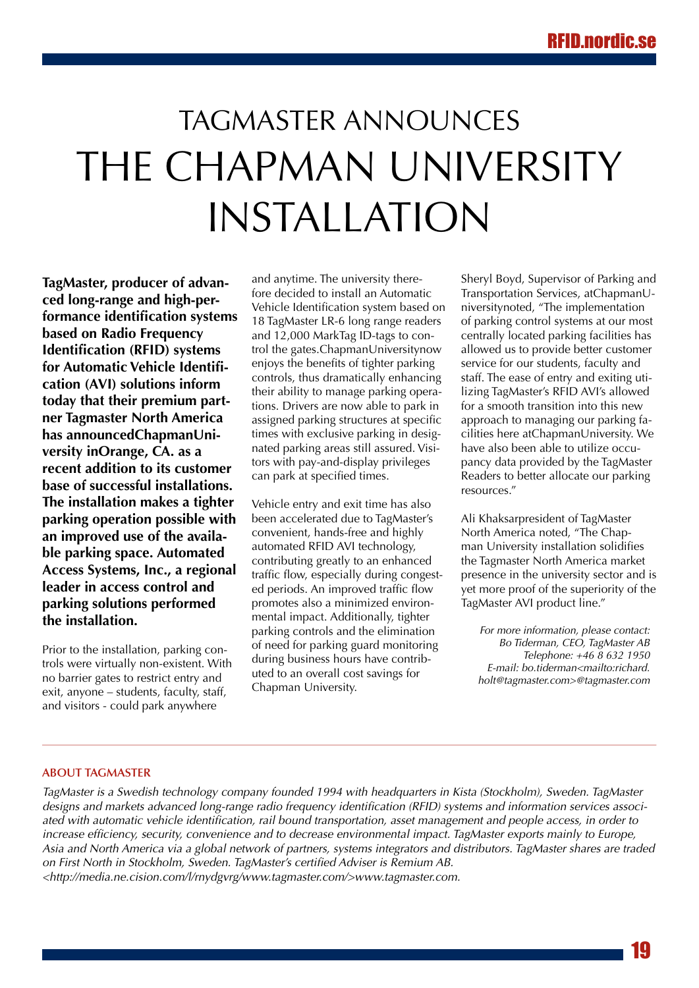### <span id="page-18-0"></span>TagMaster announces the Chapman University installation

**TagMaster, producer of advanced long-range and high-performance identification systems based on Radio Frequency Identification (RFID) systems for Automatic Vehicle Identification (AVI) solutions inform today that their premium partner Tagmaster North America has announcedChapmanUniversity inOrange, CA. as a recent addition to its customer base of successful installations. The installation makes a tighter parking operation possible with an improved use of the available parking space. Automated Access Systems, Inc., a regional leader in access control and parking solutions performed the installation.**

Prior to the installation, parking controls were virtually non-existent. With no barrier gates to restrict entry and exit, anyone – students, faculty, staff, and visitors - could park anywhere

and anytime. The university therefore decided to install an Automatic Vehicle Identification system based on 18 TagMaster LR-6 long range readers and 12,000 MarkTag ID-tags to control the gates.ChapmanUniversitynow enjoys the benefits of tighter parking controls, thus dramatically enhancing their ability to manage parking operations. Drivers are now able to park in assigned parking structures at specific times with exclusive parking in designated parking areas still assured. Visitors with pay-and-display privileges can park at specified times.

Vehicle entry and exit time has also been accelerated due to TagMaster's convenient, hands-free and highly automated RFID AVI technology, contributing greatly to an enhanced traffic flow, especially during congested periods. An improved traffic flow promotes also a minimized environmental impact. Additionally, tighter parking controls and the elimination of need for parking guard monitoring during business hours have contributed to an overall cost savings for Chapman University.

Sheryl Boyd, Supervisor of Parking and Transportation Services, atChapmanUniversitynoted, "The implementation of parking control systems at our most centrally located parking facilities has allowed us to provide better customer service for our students, faculty and staff. The ease of entry and exiting utilizing TagMaster's RFID AVI's allowed for a smooth transition into this new approach to managing our parking facilities here atChapmanUniversity. We have also been able to utilize occupancy data provided by the TagMaster Readers to better allocate our parking resources."

Ali Khaksarpresident of TagMaster North America noted, "The Chapman University installation solidifies the Tagmaster North America market presence in the university sector and is yet more proof of the superiority of the TagMaster AVI product line."

*For more information, please contact: Bo Tiderman, CEO, TagMaster AB Telephone: +46 8 632 1950 E-mail: bo.tiderman<mailto:richard. holt@tagmaster.com>@tagmaster.com*

#### **About TagMaster**

*TagMaster is a Swedish technology company founded 1994 with headquarters in Kista (Stockholm), Sweden. TagMaster designs and markets advanced long-range radio frequency identification (RFID) systems and information services associated with automatic vehicle identification, rail bound transportation, asset management and people access, in order to increase efficiency, security, convenience and to decrease environmental impact. TagMaster exports mainly to Europe, Asia and North America via a global network of partners, systems integrators and distributors. TagMaster shares are traded on First North in Stockholm, Sweden. TagMaster's certified Adviser is Remium AB. <http://media.ne.cision.com/l/rnydgvrg/www.tagmaster.com/>www.tagmaster.com.*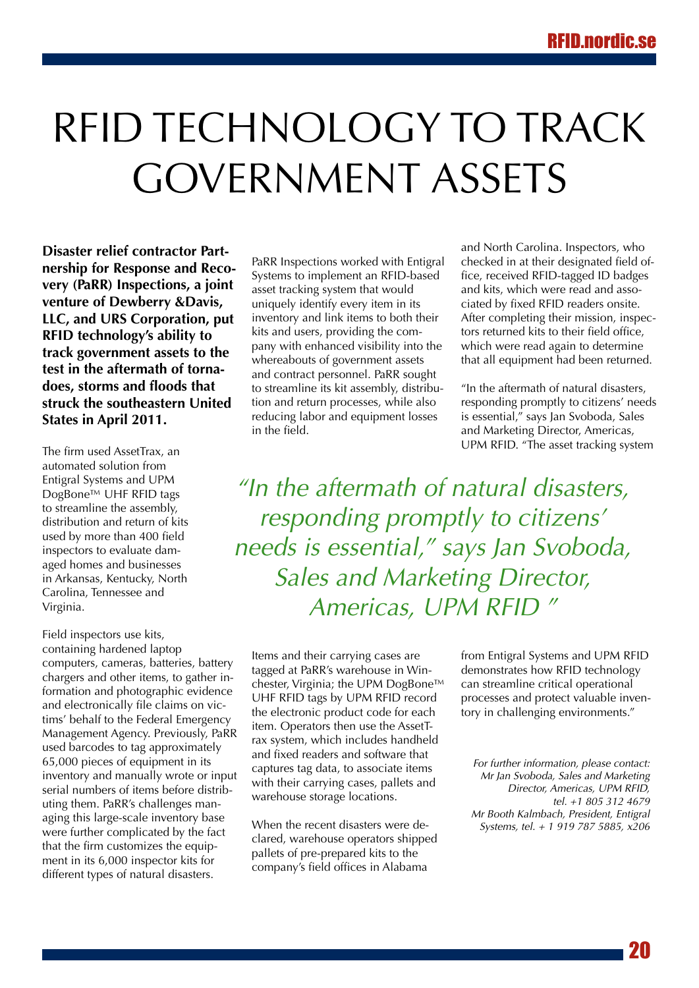## <span id="page-19-0"></span>RFID technology to track government assets

**Disaster relief contractor Partnership for Response and Recovery (PaRR) Inspections, a joint venture of Dewberry &Davis, LLC, and URS Corporation, put RFID technology's ability to track government assets to the test in the aftermath of tornadoes, storms and floods that struck the southeastern United States in April 2011.** 

The firm used AssetTrax, an automated solution from Entigral Systems and UPM DogBone™ UHF RFID tags to streamline the assembly, distribution and return of kits used by more than 400 field inspectors to evaluate damaged homes and businesses in Arkansas, Kentucky, North Carolina, Tennessee and Virginia.

Field inspectors use kits, containing hardened laptop computers, cameras, batteries, battery chargers and other items, to gather information and photographic evidence and electronically file claims on victims' behalf to the Federal Emergency Management Agency. Previously, PaRR used barcodes to tag approximately 65,000 pieces of equipment in its inventory and manually wrote or input serial numbers of items before distributing them. PaRR's challenges managing this large-scale inventory base were further complicated by the fact that the firm customizes the equipment in its 6,000 inspector kits for different types of natural disasters.

PaRR Inspections worked with Entigral Systems to implement an RFID-based asset tracking system that would uniquely identify every item in its inventory and link items to both their kits and users, providing the company with enhanced visibility into the whereabouts of government assets and contract personnel. PaRR sought to streamline its kit assembly, distribution and return processes, while also reducing labor and equipment losses in the field.

and North Carolina. Inspectors, who checked in at their designated field office, received RFID-tagged ID badges and kits, which were read and associated by fixed RFID readers onsite. After completing their mission, inspectors returned kits to their field office, which were read again to determine that all equipment had been returned.

"In the aftermath of natural disasters, responding promptly to citizens' needs is essential," says Jan Svoboda, Sales and Marketing Director, Americas, UPM RFID. "The asset tracking system

*"In the aftermath of natural disasters, responding promptly to citizens' needs is essential," says Jan Svoboda, Sales and Marketing Director, Americas, UPM RFID "*

Items and their carrying cases are tagged at PaRR's warehouse in Winchester, Virginia; the UPM DogBone™ UHF RFID tags by UPM RFID record the electronic product code for each item. Operators then use the AssetTrax system, which includes handheld and fixed readers and software that captures tag data, to associate items with their carrying cases, pallets and warehouse storage locations.

When the recent disasters were declared, warehouse operators shipped pallets of pre-prepared kits to the company's field offices in Alabama

from Entigral Systems and UPM RFID demonstrates how RFID technology can streamline critical operational processes and protect valuable inventory in challenging environments."

*For further information, please contact: Mr Jan Svoboda, Sales and Marketing Director, Americas, UPM RFID, tel. +1 805 312 4679 Mr Booth Kalmbach, President, Entigral Systems, tel. + 1 919 787 5885, x206*

20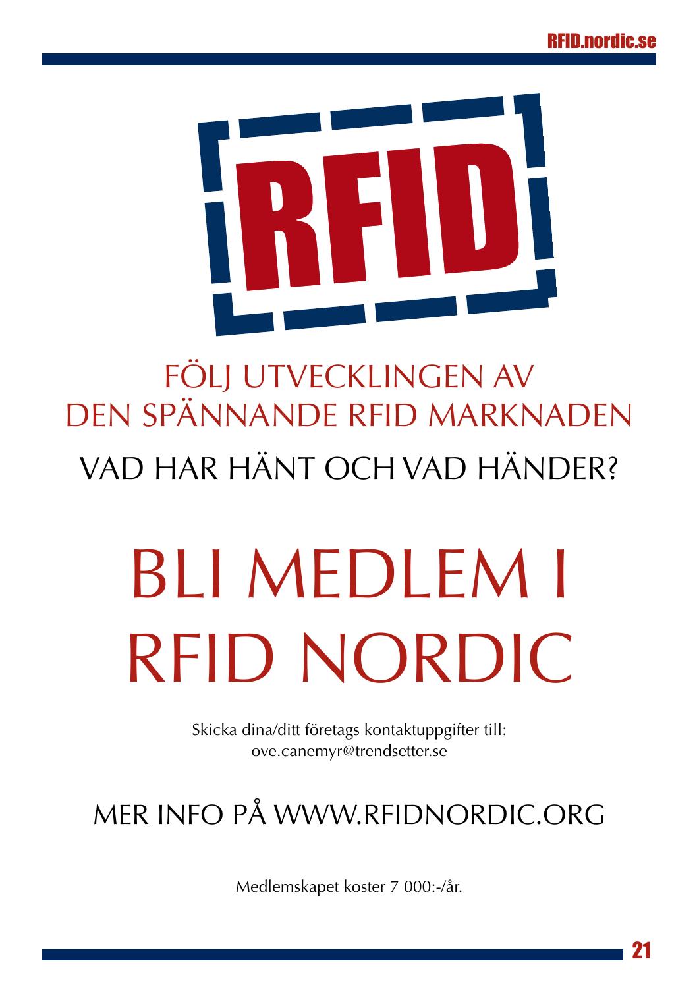<span id="page-20-0"></span>

## Följ utvecklingen av den spännande RFID marknaden Vad har hänt och vad händer?

# BLI MEDLEM I RFID NORDIC

Skicka dina/ditt företags kontaktuppgifter till: [ove.canemyr@trendsetter.se](http://mailto:ove.canemyr@trendsetter.se)

### Mer info på<www.rfidnordic.org>

Medlemskapet koster 7 000:-/år.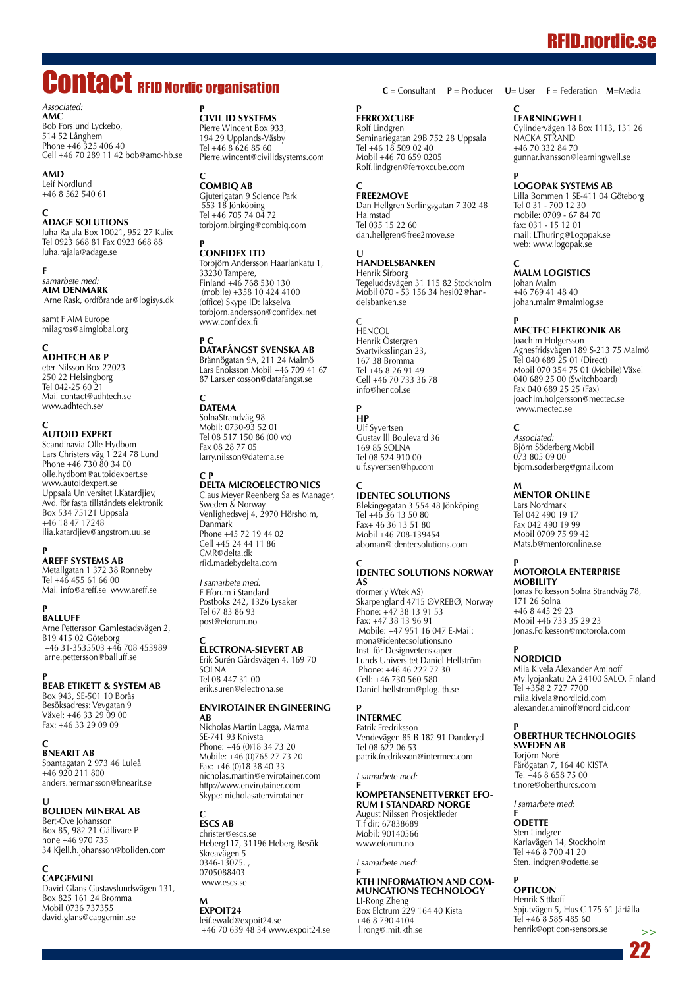### RFID.nordic.se

### <span id="page-21-0"></span>Contact RFID Nordic organisation

*Associated:* **AMC** Bob Forslund Lyckebo, 514 52 Långhem Phone +46 325 406 40 Cell +46 70 289 11 42 bob@amc-hb.se

#### **AMD**

Leif Nordlund +46 8 562 540 61

#### **C ADAGE Solutions**

Juha Rajala Box 10021, 952 27 Kalix Tel 0923 668 81 Fax 0923 668 88 Juha.rajala@adage.se

**F** *samarbete med:* **AIM Denmark**

Arne Rask, ordförande ar@logisys.dk

samt F AIM Europe milagros@aimglobal.org

#### **C**

**AdhTech AB P** eter Nilsson Box 22023 eter innsson Done Tel 042-25 60 21 Mail contact@adhtech.se www.adhtech.se/

#### **C**

**AUTOID EXPERT**  Scandinavia Olle Hydbom

Lars Christers väg 1 224 78 Lund Phone +46 730 80 34 00 olle.hydbom@autoidexpert.se www.autoidexpert.se Uppsala Universitet I.Katardjiev, Avd. för fasta tillståndets elektronik Box 534 75121 Uppsala +46 18 47 17248 ilia.katardjiev@angstrom.uu.se

#### **P**

**Areff Systems AB** Metallgatan 1 372 38 Ronneby Tel +46 455 61 66 00 Mail info@areff.se www.areff.se

#### **P**

**BALLUFF** Arne Pettersson Gamlestadsvägen 2, B19 415 02 Göteborg +46 31-3535503 +46 708 453989 arne.pettersson@balluff.se

#### **P BEAB etikett & system AB**

Box 943, SE-501 10 Borås Besöksadress: Vevgatan 9 Växel: +46 33 29 09 00 Fax: +46 33 29 09 09

**C**

**BnearIT AB** Spantagatan 2 973 46 Luleå  $+46$  920 211 800 anders.hermansson@bnearit.se

#### **U BOLIDEN Mineral AB** Bert-Ove Johansson

Box 85, 982 21 Gällivare
P hone +46 970 735 34 Kjell.h.johansson@boliden.com

#### **C CAPGEMINI**

David Glans Gustavslundsvägen 131, Box 825 161 24 Bromma Mobil 0736 737355 david.glans@capgemini.se

#### **P**

**Civil ID Systems**  Pierre Wincent Box 933, 194 29 Upplands-Väsby Tel +46 8 626 85 60 Pierre.wincent@civilidsystems.com

#### **C CombiQ AB**

Gjuterigatan 9 Science Park 553 18 Jönköping Tel +46 705 74 04 72 torbjorn.birging@combiq.com

#### **P Confidex Ltd**

Torbjörn Andersson Haarlankatu 1, 33230 Tampere, Finland +46 768 530 130 (mobile) +358 10 424 4100 (office) Skype ID: lakselva torbjorn.andersson@confidex.net www.confidex.fi

#### **P C DataFångst Svenska AB**

Brännögatan 9A, 211 24 Malmö Lars Enoksson Mobil +46 709 41 67 87 Lars.enkosson@datafangst.se

#### **C DATEMA**

SolnaStrandväg 98 Mobil: 0730-93 52 01 Tel 08 517 150 86 (00 vx) Fax 08 28 77 05 larry.nilsson@datema.se

#### **C P DELTA Microelectronics**

Claus Meyer Reenberg Sales Manager, Sweden & Norway Venlighedsvej 4, 2970 Hörsholm, Danmark Phone +45 72 19 44 02 Cell +45 24 44 11 86 CMR@delta.dk rfid.madebydelta.com

*I samarbete med:* F Eforum i Standard Postboks 242, 1326 Lysaker Tel 67 83 86 93 post@eforum.no

#### **C Electrona-Sievert AB**

Erik Surén Gårdsvägen 4, 169 70 SOLNA Tel 08 447 31 00 erik.suren@electrona.se

#### **Envirotainer Engineering AB**

Nicholas Martin Lagga, Marma SE-741 93 Knivsta Phone: +46 (0)18 34 73 20 Mobile: +46 (0)765 27 73 20 Fax: +46 (0)18 38 40 33 nicholas.martin@envirotainer.com http://www.envirotainer.com Skype: nicholasatenvirotainer

#### **C ESCS AB**

christer@escs.se Heberg117, 31196 Heberg Besök Skreavägen 5 0346-13075. , 0705088403 www.escs.se

#### **M ExpoIT24**

leif.ewald@expoit24.se +46 70 639 48 34 www.expoit24.se

#### **P FERROXCUBE**

Rolf Lindgren Seminariegatan 29B 752 28 Uppsala Tel +46 18 509 02 40 Mobil +46 70 659 0205 Rolf.lindgren@ferroxcube.com

#### **C FREE2MOVE**

Dan Hellgren Serlingsgatan 7 302 48 Halmstad Tel 035 15 22 60 dan.hellgren@free2move.se

#### **U HANDELSBANKE**

Henrik Sirborg Tegeluddsvägen 31 115 82 Stockholm Mobil 070 - 53 156 34 hesi02@handelsbanken.se

C HENCOL Henrik Östergren Svartviksslingan 23, 167 38 Bromma Tel +46 8 26 91 49 Cell +46 70 733 36 78 info@hencol.se

#### **P HP**

Ulf Syvertsen Gustav lll Boulevard 36 169 85 SOLNA Tel 08 524 910 00 ulf.syvertsen@hp.com

#### **C IDENTEC SOLUTIONS**

Blekingegatan 3 554 48 Jönköping Tel +46 36 13 50 80 Fax+ 46 36 13 51 80 Mobil +46 708-139454 aboman@identecsolutions.com

#### **C IDENTEC SOLUTIONS Norway AS**

(formerly Wtek AS) Skarpengland 4715 ØVREBØ, Norway Phone: +47 38 13 91 53 Fax: +47 38 13 96 91 Mobile: +47 951 16 047 E-Mail: mona@identecsolutions.no Inst. för Designvetenskaper Lunds Universitet Daniel Hellström Phone: +46 46 222 72 30 Cell: +46 730 560 580 Daniel.hellstrom@plog.lth.se

#### **P INTERMEC**

Patrik Fredriksson Vendevägen 85 B 182 91 Danderyd Tel 08 622 06 53 patrik.fredriksson@intermec.com

*I samarbete med:*

#### **F Kompetansenettverket efo-RUM I STANDARD NO** August Nilssen
Prosjektleder

Mobil: 90140566 www.eforum.no

#### *I samarbete med:*

Tlf dir: 67838689

#### **F KTH Information and
Communcations Technology** LI-Rong Zheng

Box Elctrum 229 164 40 Kista +46 8 790 4104 lirong@imit.kth.se

**C** = Consultant **P** = Producer **U**= User **F** = Federation **M**=Media

#### **C**

**LEARNINGWE** Cylindervägen 18 Box 1113, 131 26 NACKA STRAND +46 70 332 84 70 gunnar.ivansson@learningwell.se

#### **P Logopak Systems AB**

Lilla Bommen 1 SE-411 04 Göteborg Tel 0 31 - 700 12 30 mobile: 0709 - 67 84 70 fax: 031 - 15 12 01 mail: LThuring@Logopak.se web: www.logopak.se

#### **C Malm Logistics**

Johan Malm +46 769 41 48 40 johan.malm@malmlog.se

#### **P MECTEC Elektronik AB**

Joachim Holgersson Agnesfridsvägen 189 S-213 75 Malmö Tel 040 689 25 01 (Direct) Mobil 070 354 75 01 (Mobile) Växel 040 689 25 00 (Switchboard) Fax 040 689 25 25 (Fax) joachim.holgersson@mectec.se www.mectec.se

#### **C**

*Associated:* Björn Söderberg Mobil 073 805 09 00 bjorn.soderberg@gmail.com

#### **M MENTOR ONLINE**

Lars Nordmark Tel 042 490 19 17 Fax 042 490 19 99 Mobil 0709 75 99 42 Mats.b@mentoronline.se

#### **P MOTOROLA EN Mobility**

Jonas Folkesson Solna Strandväg 78, 171 26 Solna +46 8 445 29 23 Mobil +46 733 35 29 23 Jonas.Folkesson@motorola.com

#### **P NORDICID**

Miia Kivela Alexander Aminoff Myllyojankatu 2A 24100 SALO, Finland Tel +358 2 727 7700 miia.kivela@nordicid.com alexander.aminoff@nordicid.com

#### **P OBERTHUR TECHNOLOGIES Sweden AB**

Torjörn Noré Färögatan 7, 164 40 KISTA Tel +46 8 658 75 00 t.nore@oberthurcs.com

*I samarbete med:*

#### **F ODETTE**

Sten Lindgren Karlavägen 14, Stockholm Tel +46 8 700 41 20 Sten.lindgren@odette.se

#### **P OPTICON**

Henrik Sittkoff Spjutvägen 5, Hus C 175 61 Järfälla Tel +46 8 585 485 60 henrik@opticon-sensors.se **>>**